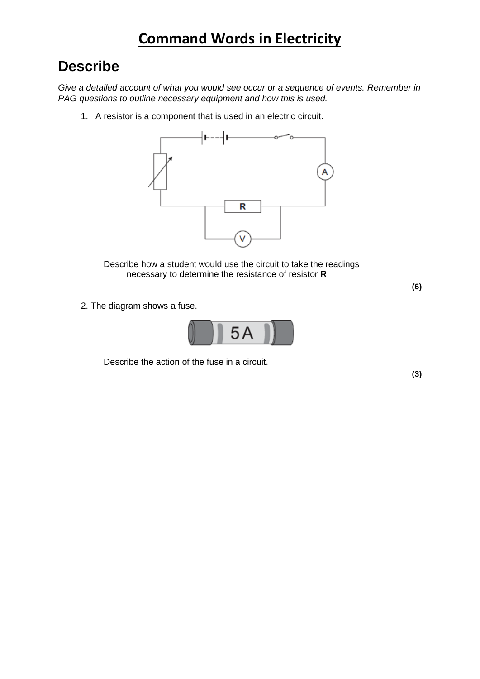## **Describe**

*Give a detailed account of what you would see occur or a sequence of events. Remember in PAG questions to outline necessary equipment and how this is used.*

1. A resistor is a component that is used in an electric circuit.



Describe how a student would use the circuit to take the readings necessary to determine the resistance of resistor **R**.

**(6)**

2. The diagram shows a fuse.



Describe the action of the fuse in a circuit.

**(3)**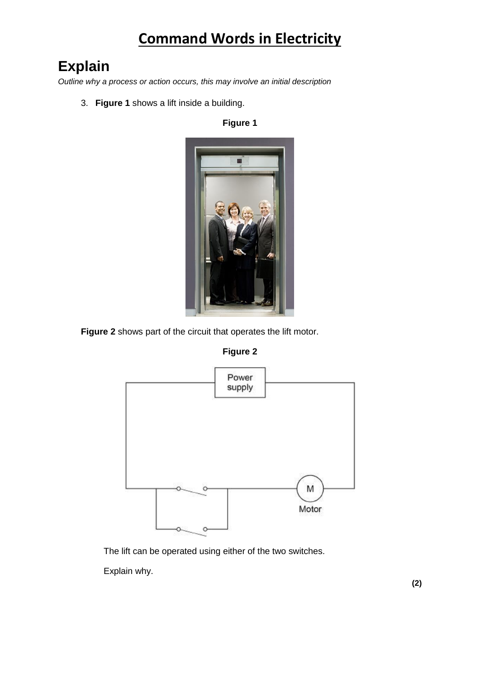# **Explain**

*Outline why a process or action occurs, this may involve an initial description*

3. **Figure 1** shows a lift inside a building.

**Figure 1**



**Figure 2** shows part of the circuit that operates the lift motor.





The lift can be operated using either of the two switches.

Explain why.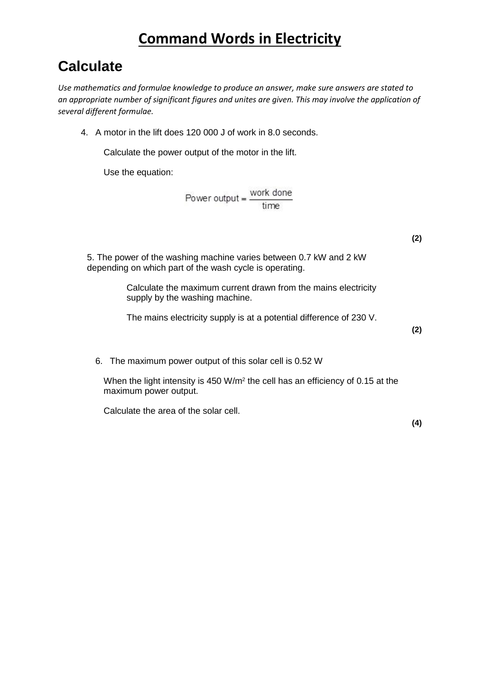## **Calculate**

*Use mathematics and formulae knowledge to produce an answer, make sure answers are stated to an appropriate number of significant figures and unites are given. This may involve the application of several different formulae.*

4. A motor in the lift does 120 000 J of work in 8.0 seconds.

Calculate the power output of the motor in the lift.

Use the equation:

$$
Power output = \frac{work done}{time}
$$

**(2)**

5. The power of the washing machine varies between 0.7 kW and 2 kW depending on which part of the wash cycle is operating.

> Calculate the maximum current drawn from the mains electricity supply by the washing machine.

> The mains electricity supply is at a potential difference of 230 V.

**(2)**

6. The maximum power output of this solar cell is 0.52 W

When the light intensity is 450 W/m<sup>2</sup> the cell has an efficiency of 0.15 at the maximum power output.

Calculate the area of the solar cell.

**(4)**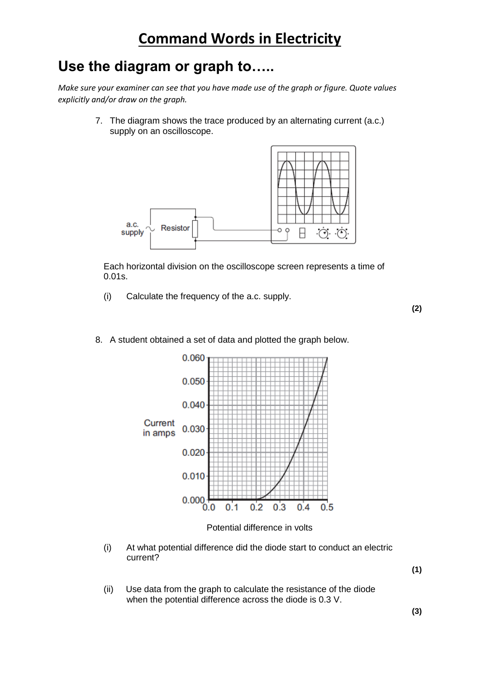## **Use the diagram or graph to…..**

*Make sure your examiner can see that you have made use of the graph or figure. Quote values explicitly and/or draw on the graph.*

> 7. The diagram shows the trace produced by an alternating current (a.c.) supply on an oscilloscope.



Each horizontal division on the oscilloscope screen represents a time of 0.01s.

(i) Calculate the frequency of the a.c. supply.

**(2)**



### 8. A student obtained a set of data and plotted the graph below.

Potential difference in volts

(i) At what potential difference did the diode start to conduct an electric current?

**(1)**

(ii) Use data from the graph to calculate the resistance of the diode when the potential difference across the diode is 0.3 V.

**(3)**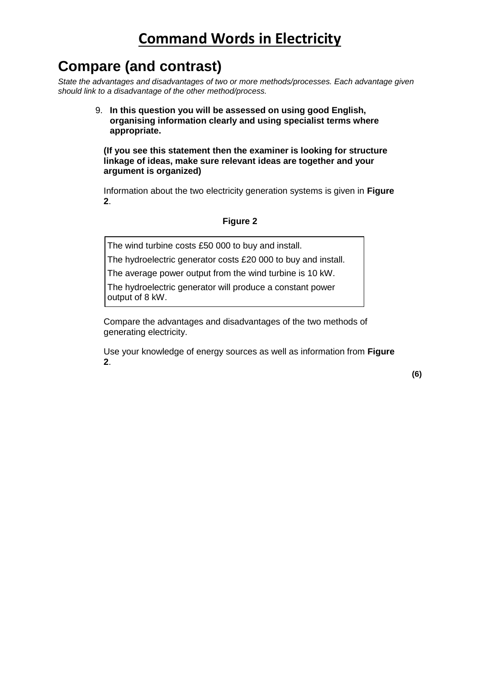# **Compare (and contrast)**

*State the advantages and disadvantages of two or more methods/processes. Each advantage given should link to a disadvantage of the other method/process.*

> 9. **In this question you will be assessed on using good English, organising information clearly and using specialist terms where appropriate.**

**(If you see this statement then the examiner is looking for structure linkage of ideas, make sure relevant ideas are together and your argument is organized)**

Information about the two electricity generation systems is given in **Figure 2**.

### **Figure 2**

The wind turbine costs £50 000 to buy and install.

The hydroelectric generator costs £20 000 to buy and install.

The average power output from the wind turbine is 10 kW.

The hydroelectric generator will produce a constant power output of 8 kW.

Compare the advantages and disadvantages of the two methods of generating electricity.

Use your knowledge of energy sources as well as information from **Figure 2**.

**(6)**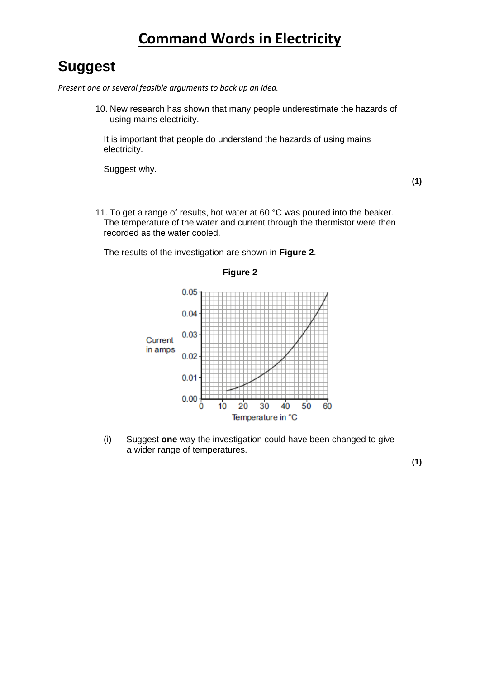### **Suggest**

*Present one or several feasible arguments to back up an idea.*

10. New research has shown that many people underestimate the hazards of using mains electricity.

It is important that people do understand the hazards of using mains electricity.

Suggest why.

**(1)**

11. To get a range of results, hot water at 60 °C was poured into the beaker. The temperature of the water and current through the thermistor were then recorded as the water cooled.

The results of the investigation are shown in **Figure 2**.



**Figure 2**

(i) Suggest **one** way the investigation could have been changed to give a wider range of temperatures.

**(1)**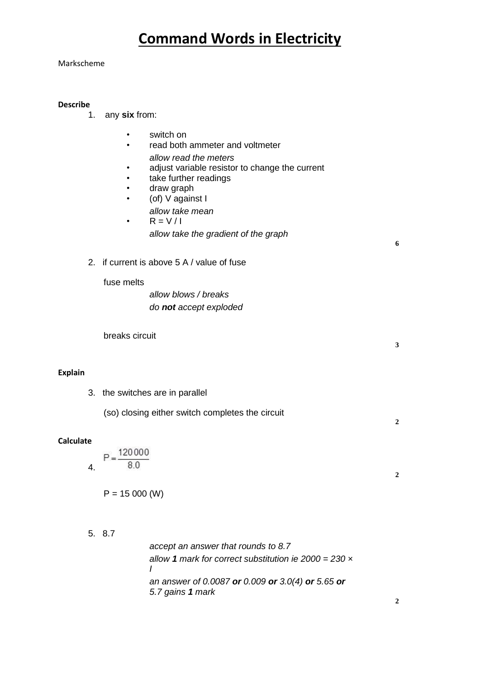### Markscheme

### **Describe**

- 1. any **six** from:
	- switch on
	- read both ammeter and voltmeter *allow read the meters*
	- adjust variable resistor to change the current
	- take further readings
	- draw graph
	- (of) V against I
		- *allow take mean*
	- $R = V/I$ 
		- *allow take the gradient of the graph*

**6**

**3**

**2**

**2**

2. if current is above 5 A / value of fuse

### fuse melts

*allow blows / breaks do not accept exploded*

breaks circuit

### **Explain**

3. the switches are in parallel

(so) closing either switch completes the circuit

### **Calculate**

 $P = \frac{120000}{1}$ 80 4.

 $P = 15000$  (W)

5. 8.7

*accept an answer that rounds to 8.7 allow 1 mark for correct substitution ie 2000 = 230 × I an answer of 0.0087 or 0.009 or 3.0(4) or 5.65 or 5.7 gains 1 mark*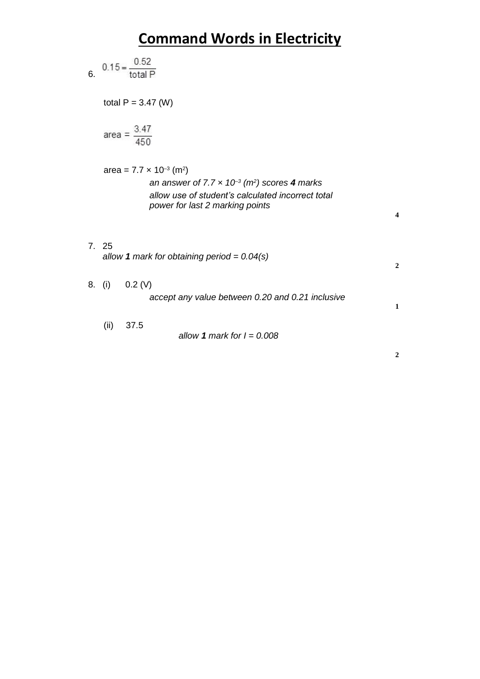6. 
$$
0.15 = \frac{0.52}{\text{total P}}
$$
  
\ntotal P = 3.47 (W)  
\narea =  $\frac{3.47}{450}$   
\narea = 7.7 x 10<sup>-3</sup> (m<sup>2</sup>)  
\nan answer of 7.7 x 10<sup>-3</sup> (m<sup>2</sup>) scores 4 marks  
\nallow use of student's calculated incorrect total  
\npower for last 2 marking points  
\n4  
\n7. 25  
\nallow 1 mark for obtaining period = 0.04(s)  
\n8. (i) 0.2 (V)  
\naccept any value between 0.20 and 0.21 inclusive  
\n(ii) 37.5  
\nallow 1 mark for I = 0.008

**2**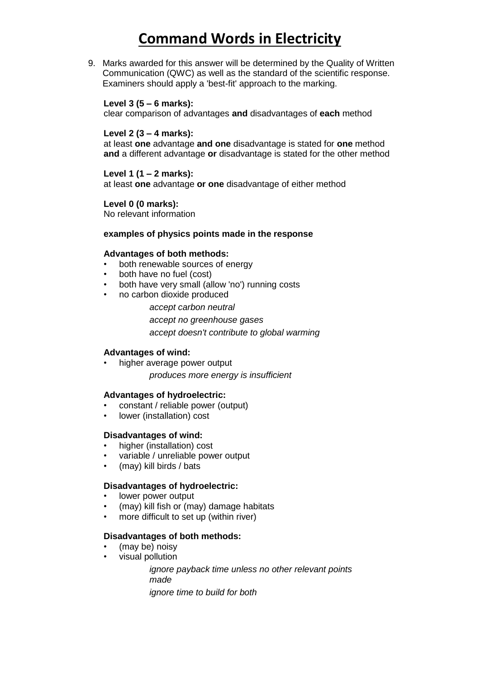9. Marks awarded for this answer will be determined by the Quality of Written Communication (QWC) as well as the standard of the scientific response. Examiners should apply a 'best-fit' approach to the marking.

### **Level 3 (5 – 6 marks):**

clear comparison of advantages **and** disadvantages of **each** method

### **Level 2 (3 – 4 marks):**

at least **one** advantage **and one** disadvantage is stated for **one** method **and** a different advantage **or** disadvantage is stated for the other method

### **Level 1 (1 – 2 marks):**

at least **one** advantage **or one** disadvantage of either method

### **Level 0 (0 marks):**

No relevant information

### **examples of physics points made in the response**

### **Advantages of both methods:**

- both renewable sources of energy
- both have no fuel (cost)
- both have very small (allow 'no') running costs
- no carbon dioxide produced
	- *accept carbon neutral*
	- *accept no greenhouse gases*

*accept doesn't contribute to global warming*

### **Advantages of wind:**

higher average power output *produces more energy is insufficient*

### **Advantages of hydroelectric:**

- constant / reliable power (output)
- lower (installation) cost

### **Disadvantages of wind:**

- higher (installation) cost
- variable / unreliable power output
- (may) kill birds / bats

### **Disadvantages of hydroelectric:**

- lower power output
- (may) kill fish or (may) damage habitats
- more difficult to set up (within river)

### **Disadvantages of both methods:**

- (may be) noisy
- visual pollution

*ignore payback time unless no other relevant points made*

*ignore time to build for both*